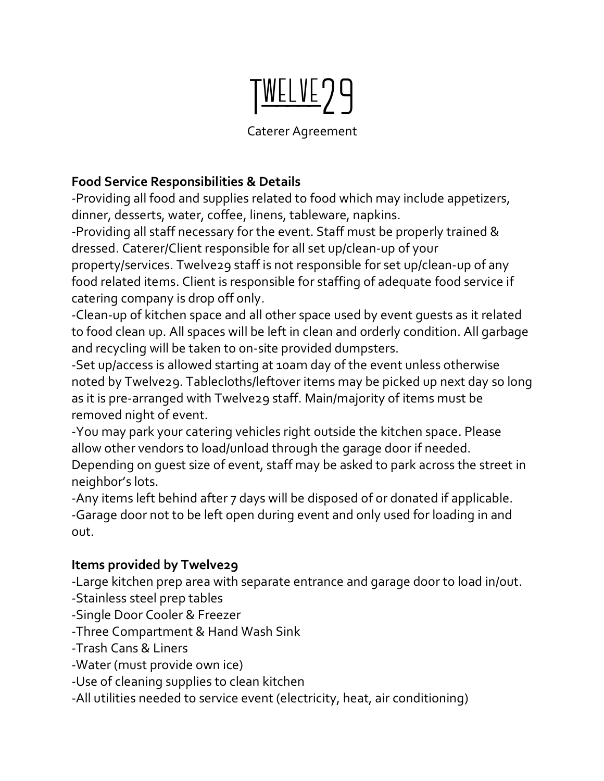# TWELVE29

# Caterer Agreement

# **Food Service Responsibilities & Details**

-Providing all food and supplies related to food which may include appetizers, dinner, desserts, water, coffee, linens, tableware, napkins.

-Providing all staff necessary for the event. Staff must be properly trained & dressed. Caterer/Client responsible for all set up/clean-up of your

property/services. Twelve29 staff is not responsible for set up/clean-up of any food related items. Client is responsible for staffing of adequate food service if catering company is drop off only.

-Clean-up of kitchen space and all other space used by event guests as it related to food clean up. All spaces will be left in clean and orderly condition. All garbage and recycling will be taken to on-site provided dumpsters.

-Set up/access is allowed starting at 10am day of the event unless otherwise noted by Twelve29. Tablecloths/leftover items may be picked up next day so long as it is pre-arranged with Twelve29 staff. Main/majority of items must be removed night of event.

-You may park your catering vehicles right outside the kitchen space. Please allow other vendors to load/unload through the garage door if needed.

Depending on guest size of event, staff may be asked to park across the street in neighbor's lots.

-Any items left behind after 7 days will be disposed of or donated if applicable. -Garage door not to be left open during event and only used for loading in and out.

# **Items provided by Twelve29**

-Large kitchen prep area with separate entrance and garage door to load in/out.

- -Stainless steel prep tables
- -Single Door Cooler & Freezer
- -Three Compartment & Hand Wash Sink
- -Trash Cans & Liners
- -Water (must provide own ice)
- -Use of cleaning supplies to clean kitchen
- -All utilities needed to service event (electricity, heat, air conditioning)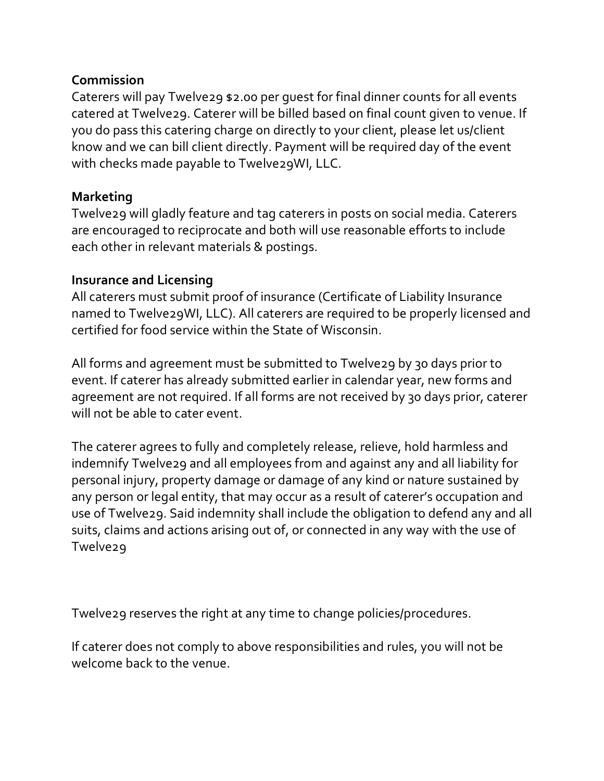## **Commission**

Caterers will pay Twelve29 \$2.00 per guest for final dinner counts for all events catered at Twelve29. Caterer will be billed based on final count given to venue. If you do pass this catering charge on directly to your client, please let us/client know and we can bill client directly. Payment will be required day of the event with checks made payable to Twelve29WI, LLC.

### **Marketing**

Twelve29 will gladly feature and tag caterers in posts on social media. Caterers are encouraged to reciprocate and both will use reasonable efforts to include each other in relevant materials & postings.

#### **Insurance and Licensing**

All caterers must submit proof of insurance (Certificate of Liability Insurance named to Twelve29WI, LLC). All caterers are required to be properly licensed and certified for food service within the State of Wisconsin.

All forms and agreement must be submitted to Twelve29 by 30 days prior to event. If caterer has already submitted earlier in calendar year, new forms and agreement are not required. If all forms are not received by 30 days prior, caterer will not be able to cater event.

The caterer agrees to fully and completely release, relieve, hold harmless and indemnify Twelve29 and all employees from and against any and all liability for personal injury, property damage or damage of any kind or nature sustained by any person or legal entity, that may occur as a result of caterer's occupation and use of Twelve29. Said indemnity shall include the obligation to defend any and all suits, claims and actions arising out of, or connected in any way with the use of Twelve29

Twelve29 reserves the right at any time to change policies/procedures.

If caterer does not comply to above responsibilities and rules, you will not be welcome back to the venue.